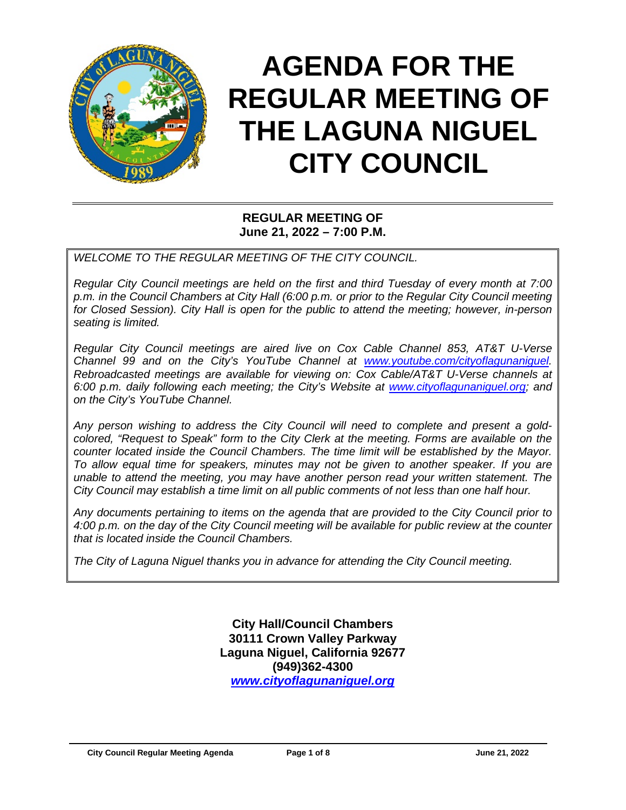

# **AGENDA FOR THE REGULAR MEETING OF THE LAGUNA NIGUEL CITY COUNCIL**

## **REGULAR MEETING OF June 21, 2022 – 7:00 P.M.**

*WELCOME TO THE REGULAR MEETING OF THE CITY COUNCIL.*

*Regular City Council meetings are held on the first and third Tuesday of every month at 7:00 p.m. in the Council Chambers at City Hall (6:00 p.m. or prior to the Regular City Council meeting for Closed Session). City Hall is open for the public to attend the meeting; however, in-person seating is limited.* 

*Regular City Council meetings are aired live on Cox Cable Channel 853, AT&T U-Verse Channel 99 and on the City's YouTube Channel at [www.youtube.com/cityoflagunaniguel.](http://www.youtube.com/cityoflagunaniguel) Rebroadcasted meetings are available for viewing on: Cox Cable/AT&T U-Verse channels at 6:00 p.m. daily following each meeting; the City's Website at [www.cityoflagunaniguel.org;](http://www.cityoflagunaniguel.org/) and on the City's YouTube Channel.*

*Any person wishing to address the City Council will need to complete and present a goldcolored, "Request to Speak" form to the City Clerk at the meeting. Forms are available on the counter located inside the Council Chambers. The time limit will be established by the Mayor. To allow equal time for speakers, minutes may not be given to another speaker. If you are unable to attend the meeting, you may have another person read your written statement. The City Council may establish a time limit on all public comments of not less than one half hour.* 

*Any documents pertaining to items on the agenda that are provided to the City Council prior to 4:00 p.m. on the day of the City Council meeting will be available for public review at the counter that is located inside the Council Chambers.*

*The City of Laguna Niguel thanks you in advance for attending the City Council meeting.* 

**City Hall/Council Chambers 30111 Crown Valley Parkway Laguna Niguel, California 92677 (949)362-4300** *[www.cityoflagunaniguel.org](http://www.cityoflagunaniguel.org/)*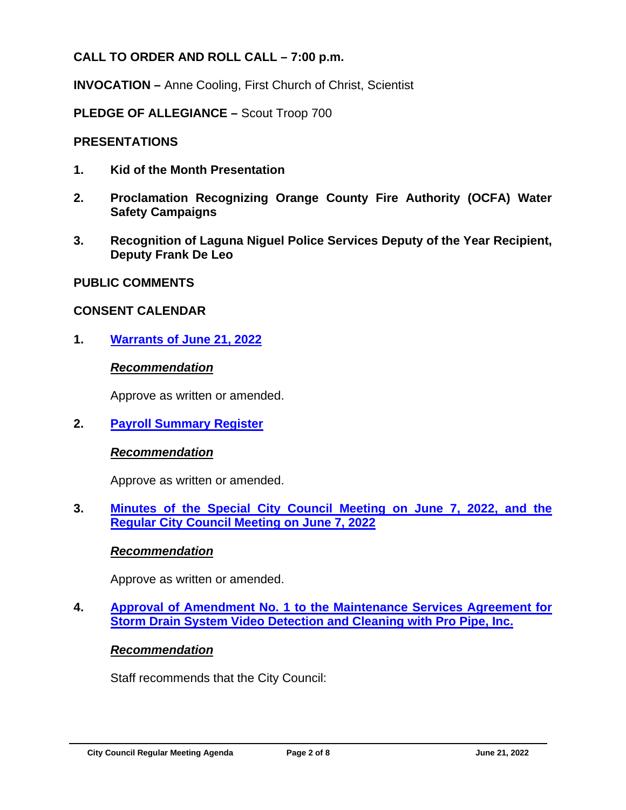# **CALL TO ORDER AND ROLL CALL – 7:00 p.m.**

**INVOCATION –** Anne Cooling, First Church of Christ, Scientist

**PLEDGE OF ALLEGIANCE –** Scout Troop 700

# **PRESENTATIONS**

- **1. Kid of the Month Presentation**
- **2. Proclamation Recognizing Orange County Fire Authority (OCFA) Water Safety Campaigns**
- **3. Recognition of Laguna Niguel Police Services Deputy of the Year Recipient, Deputy Frank De Leo**

# **PUBLIC COMMENTS**

# **CONSENT CALENDAR**

**1. Warrants of [June 21, 2022](https://www.cityoflagunaniguel.org/DocumentCenter/View/22892/20220621_01_Warrant)**

## *Recommendation*

Approve as written or amended.

**2. [Payroll Summary Register](https://www.cityoflagunaniguel.org/DocumentCenter/View/22893/20220621_02_Payroll)**

# *Recommendation*

Approve as written or amended.

**3. [Minutes of the Special City Council Meeting on June 7, 2022, and the](https://www.cityoflagunaniguel.org/DocumentCenter/View/22894/20220621_03_Minutes)  [Regular City Council Meeting](https://www.cityoflagunaniguel.org/DocumentCenter/View/22894/20220621_03_Minutes) on June 7, 2022**

# *Recommendation*

Approve as written or amended.

**4. [Approval of Amendment No. 1 to the Maintenance Services Agreement for](https://www.cityoflagunaniguel.org/DocumentCenter/View/22895/20220621_04_ServAgree_Amend1_ProPipe)  [Storm Drain System Video Detection and Cleaning with Pro Pipe, Inc.](https://www.cityoflagunaniguel.org/DocumentCenter/View/22895/20220621_04_ServAgree_Amend1_ProPipe)**

# *Recommendation*

Staff recommends that the City Council: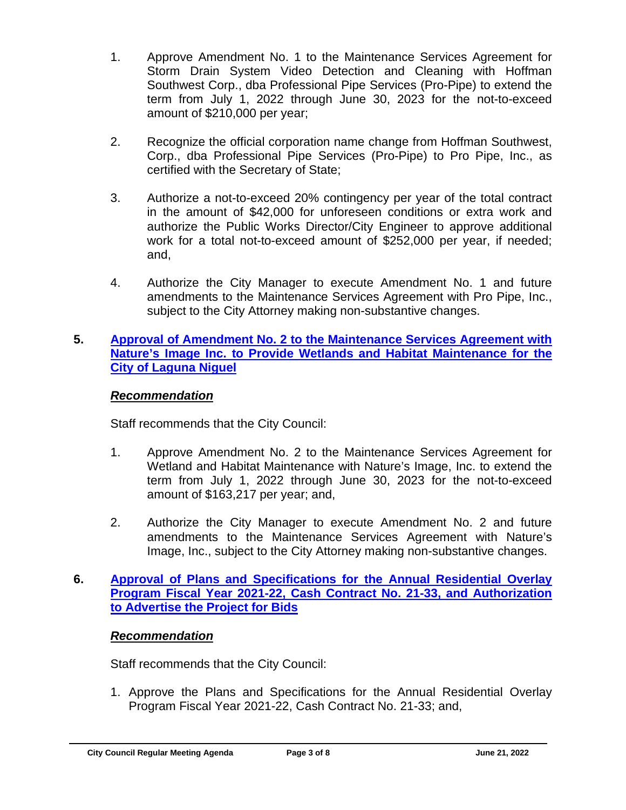- 1. Approve Amendment No. 1 to the Maintenance Services Agreement for Storm Drain System Video Detection and Cleaning with Hoffman Southwest Corp., dba Professional Pipe Services (Pro-Pipe) to extend the term from July 1, 2022 through June 30, 2023 for the not-to-exceed amount of \$210,000 per year;
- 2. Recognize the official corporation name change from Hoffman Southwest, Corp., dba Professional Pipe Services (Pro-Pipe) to Pro Pipe, Inc., as certified with the Secretary of State;
- 3. Authorize a not-to-exceed 20% contingency per year of the total contract in the amount of \$42,000 for unforeseen conditions or extra work and authorize the Public Works Director/City Engineer to approve additional work for a total not-to-exceed amount of \$252,000 per year, if needed; and,
- 4. Authorize the City Manager to execute Amendment No. 1 and future amendments to the Maintenance Services Agreement with Pro Pipe, Inc., subject to the City Attorney making non-substantive changes.

## **5. [Approval of Amendment No. 2 to the Maintenance Services Agreement with](https://www.cityoflagunaniguel.org/DocumentCenter/View/22896/20220621_05_ServAgree_Amend2_Natures)  [Nature's Image Inc. to Provide Wetlands](https://www.cityoflagunaniguel.org/DocumentCenter/View/22896/20220621_05_ServAgree_Amend2_Natures) and Habitat Maintenance for the [City of Laguna Niguel](https://www.cityoflagunaniguel.org/DocumentCenter/View/22896/20220621_05_ServAgree_Amend2_Natures)**

# *Recommendation*

Staff recommends that the City Council:

- 1. Approve Amendment No. 2 to the Maintenance Services Agreement for Wetland and Habitat Maintenance with Nature's Image, Inc. to extend the term from July 1, 2022 through June 30, 2023 for the not-to-exceed amount of \$163,217 per year; and,
- 2. Authorize the City Manager to execute Amendment No. 2 and future amendments to the Maintenance Services Agreement with Nature's Image, Inc., subject to the City Attorney making non-substantive changes.

## **6. [Approval of Plans and Specifications for the Annual Residential Overlay](https://www.cityoflagunaniguel.org/DocumentCenter/View/22897/20220621_06_CCNo21-33)  [Program Fiscal Year 2021-22, Cash Contract No. 21-33,](https://www.cityoflagunaniguel.org/DocumentCenter/View/22897/20220621_06_CCNo21-33) and Authorization [to Advertise the Project for Bids](https://www.cityoflagunaniguel.org/DocumentCenter/View/22897/20220621_06_CCNo21-33)**

# *Recommendation*

Staff recommends that the City Council:

1. Approve the Plans and Specifications for the Annual Residential Overlay Program Fiscal Year 2021-22, Cash Contract No. 21-33; and,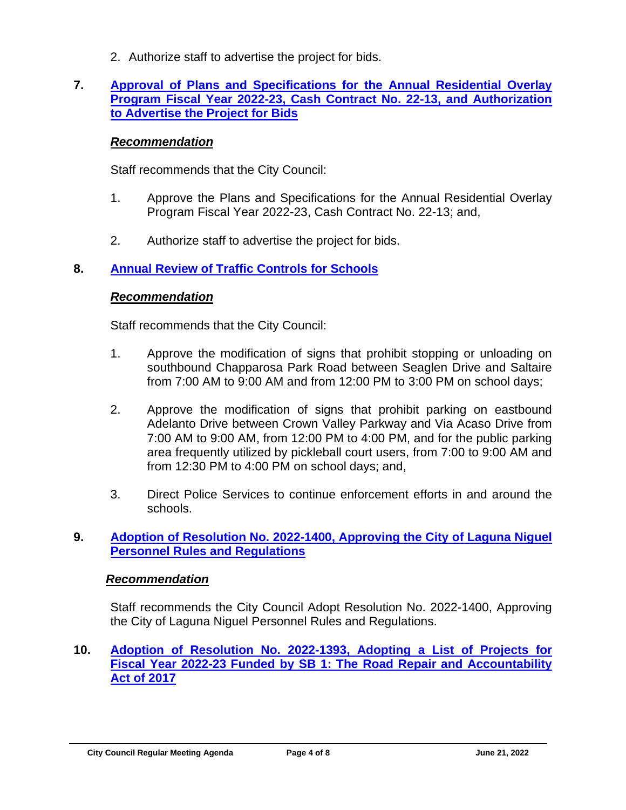2. Authorize staff to advertise the project for bids.

## **7. [Approval of Plans and Specifications for the Annual Residential Overlay](https://www.cityoflagunaniguel.org/DocumentCenter/View/22898/20220621_07_CCNo22-13)  [Program Fiscal Year 2022-23, Cash Contract No. 22-13,](https://www.cityoflagunaniguel.org/DocumentCenter/View/22898/20220621_07_CCNo22-13) and Authorization [to Advertise the Project for Bids](https://www.cityoflagunaniguel.org/DocumentCenter/View/22898/20220621_07_CCNo22-13)**

## *Recommendation*

Staff recommends that the City Council:

- 1. Approve the Plans and Specifications for the Annual Residential Overlay Program Fiscal Year 2022-23, Cash Contract No. 22-13; and,
- 2. Authorize staff to advertise the project for bids.

## **8. [Annual Review of Traffic Controls for Schools](https://www.cityoflagunaniguel.org/DocumentCenter/View/22899/20220621_08_TrafficControls)**

### *Recommendation*

Staff recommends that the City Council:

- 1. Approve the modification of signs that prohibit stopping or unloading on southbound Chapparosa Park Road between Seaglen Drive and Saltaire from 7:00 AM to 9:00 AM and from 12:00 PM to 3:00 PM on school days;
- 2. Approve the modification of signs that prohibit parking on eastbound Adelanto Drive between Crown Valley Parkway and Via Acaso Drive from 7:00 AM to 9:00 AM, from 12:00 PM to 4:00 PM, and for the public parking area frequently utilized by pickleball court users, from 7:00 to 9:00 AM and from 12:30 PM to 4:00 PM on school days; and,
- 3. Direct Police Services to continue enforcement efforts in and around the schools.

## **9. [Adoption of Resolution No. 2022-1400, Approving the City of Laguna Niguel](https://www.cityoflagunaniguel.org/DocumentCenter/View/22900/20220621_09_ResoNo2022-1400)  [Personnel Rules and Regulations](https://www.cityoflagunaniguel.org/DocumentCenter/View/22900/20220621_09_ResoNo2022-1400)**

### *Recommendation*

Staff recommends the City Council Adopt Resolution No. 2022-1400, Approving the City of Laguna Niguel Personnel Rules and Regulations.

**10. [Adoption of Resolution No. 2022-1393, Adopting](https://www.cityoflagunaniguel.org/DocumentCenter/View/22901/20220621_10_ResoNo2022-1393) a List of Projects for Fiscal Year 2022-23 [Funded by SB 1: The Road Repair and Accountability](https://www.cityoflagunaniguel.org/DocumentCenter/View/22901/20220621_10_ResoNo2022-1393)  [Act of 2017](https://www.cityoflagunaniguel.org/DocumentCenter/View/22901/20220621_10_ResoNo2022-1393)**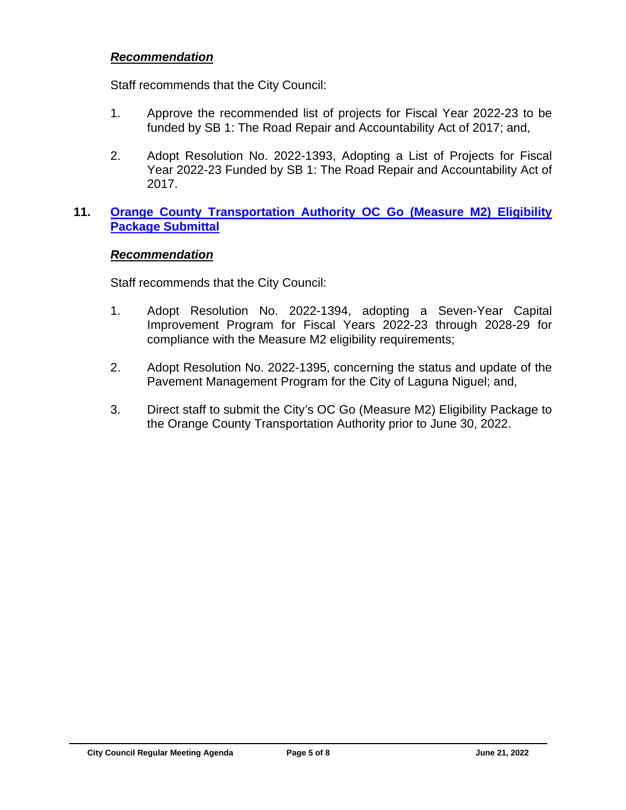#### *Recommendation*

Staff recommends that the City Council:

- 1. Approve the recommended list of projects for Fiscal Year 2022-23 to be funded by SB 1: The Road Repair and Accountability Act of 2017; and,
- 2. Adopt Resolution No. 2022-1393, Adopting a List of Projects for Fiscal Year 2022-23 Funded by SB 1: The Road Repair and Accountability Act of 2017.

## **11. [Orange County Transportation Authority](https://www.cityoflagunaniguel.org/DocumentCenter/View/22902/20220621_11_MeasureM2) OC Go (Measure M2) Eligibility [Package Submittal](https://www.cityoflagunaniguel.org/DocumentCenter/View/22902/20220621_11_MeasureM2)**

#### *Recommendation*

Staff recommends that the City Council:

- 1. Adopt Resolution No. 2022-1394, adopting a Seven-Year Capital Improvement Program for Fiscal Years 2022-23 through 2028-29 for compliance with the Measure M2 eligibility requirements;
- 2. Adopt Resolution No. 2022-1395, concerning the status and update of the Pavement Management Program for the City of Laguna Niguel; and,
- 3. Direct staff to submit the City's OC Go (Measure M2) Eligibility Package to the Orange County Transportation Authority prior to June 30, 2022.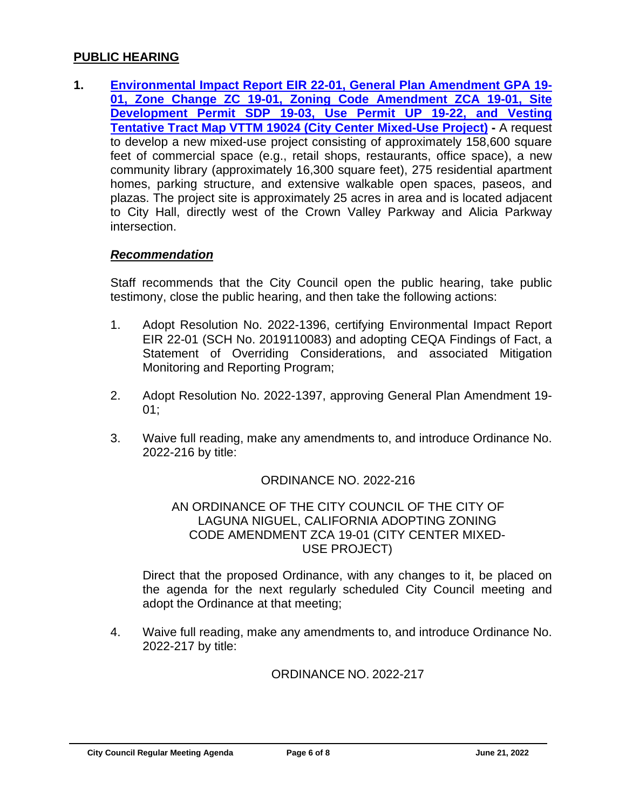#### **PUBLIC HEARING**

**1. [Environmental Impact Report EIR 22-01, General Plan Amendment GPA 19-](https://www.cityoflagunaniguel.org/DocumentCenter/View/22903/20220621_PH1_CityCenter) [01, Zone Change ZC 19-01, Zoning Code Amendment ZCA 19-01, Site](https://www.cityoflagunaniguel.org/DocumentCenter/View/22903/20220621_PH1_CityCenter)  [Development Permit SDP 19-03, Use Permit UP 19-22, and Vesting](https://www.cityoflagunaniguel.org/DocumentCenter/View/22903/20220621_PH1_CityCenter)  [Tentative Tract Map VTTM 19024 \(City Center Mixed-Use Project\)](https://www.cityoflagunaniguel.org/DocumentCenter/View/22903/20220621_PH1_CityCenter) -** A request to develop a new mixed-use project consisting of approximately 158,600 square feet of commercial space (e.g., retail shops, restaurants, office space), a new community library (approximately 16,300 square feet), 275 residential apartment homes, parking structure, and extensive walkable open spaces, paseos, and plazas. The project site is approximately 25 acres in area and is located adjacent to City Hall, directly west of the Crown Valley Parkway and Alicia Parkway intersection.

#### *Recommendation*

Staff recommends that the City Council open the public hearing, take public testimony, close the public hearing, and then take the following actions:

- 1. Adopt Resolution No. 2022-1396, certifying Environmental Impact Report EIR 22-01 (SCH No. 2019110083) and adopting CEQA Findings of Fact, a Statement of Overriding Considerations, and associated Mitigation Monitoring and Reporting Program;
- 2. Adopt Resolution No. 2022-1397, approving General Plan Amendment 19- 01;
- 3. Waive full reading, make any amendments to, and introduce Ordinance No. 2022-216 by title:

## ORDINANCE NO. 2022-216

#### AN ORDINANCE OF THE CITY COUNCIL OF THE CITY OF LAGUNA NIGUEL, CALIFORNIA ADOPTING ZONING CODE AMENDMENT ZCA 19-01 (CITY CENTER MIXED-USE PROJECT)

Direct that the proposed Ordinance, with any changes to it, be placed on the agenda for the next regularly scheduled City Council meeting and adopt the Ordinance at that meeting;

4. Waive full reading, make any amendments to, and introduce Ordinance No. 2022-217 by title:

### ORDINANCE NO. 2022-217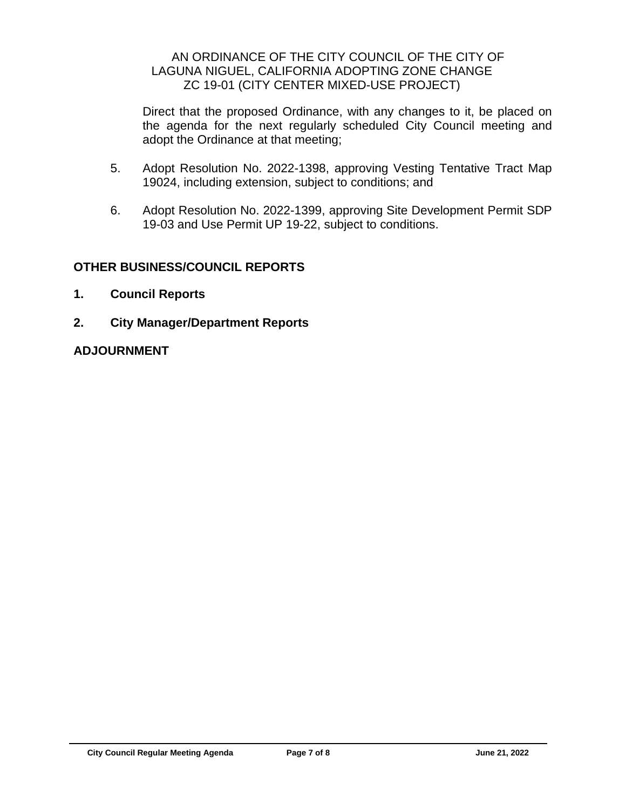### AN ORDINANCE OF THE CITY COUNCIL OF THE CITY OF LAGUNA NIGUEL, CALIFORNIA ADOPTING ZONE CHANGE ZC 19-01 (CITY CENTER MIXED-USE PROJECT)

Direct that the proposed Ordinance, with any changes to it, be placed on the agenda for the next regularly scheduled City Council meeting and adopt the Ordinance at that meeting;

- 5. Adopt Resolution No. 2022-1398, approving Vesting Tentative Tract Map 19024, including extension, subject to conditions; and
- 6. Adopt Resolution No. 2022-1399, approving Site Development Permit SDP 19-03 and Use Permit UP 19-22, subject to conditions.

# **OTHER BUSINESS/COUNCIL REPORTS**

- **1. Council Reports**
- **2. City Manager/Department Reports**

## **ADJOURNMENT**